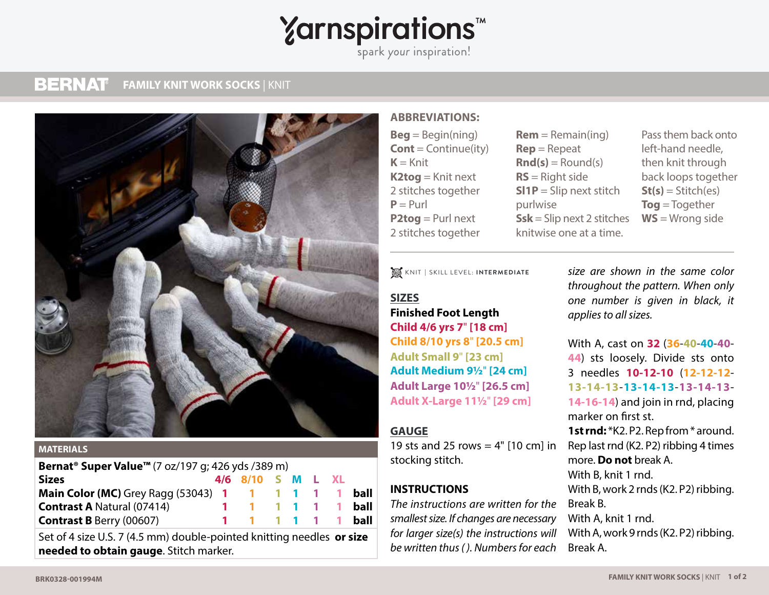# **Yarnspirations<sup>\*</sup>**

spark your inspiration!

#### **BERNAT FAMILY KNIT WORK SOCKS** | KNIT **FAMILY KNIT WORK SOCKS** | KNIT



#### **MATERIALS**

| Bernat <sup>®</sup> Super Value <sup>™</sup> (7 oz/197 g; 426 yds /389 m) |  |                         |  |  |  |  |      |
|---------------------------------------------------------------------------|--|-------------------------|--|--|--|--|------|
| <b>Sizes</b>                                                              |  | 4/6 8/10 S M L XL       |  |  |  |  |      |
| <b>Main Color (MC)</b> Grey Ragg (53043) 1 1 1 1 1 1 1                    |  |                         |  |  |  |  | ball |
| <b>Contrast A Natural (07414)</b>                                         |  | 1 1 1 1 1 1             |  |  |  |  | ball |
| <b>Contrast B Berry (00607)</b>                                           |  | $1 \t1 \t1 \t1 \t1 \t1$ |  |  |  |  | ball |

Set of 4 size U.S. 7 (4.5 mm) double-pointed knitting needles **or size needed to obtain gauge**. Stitch marker.

#### **ABBREVIATIONS:**

 $Beq = Beqin(ning)$ **Cont** = Continue(ity)  $K =$ Knit **K2tog** = Knit next 2 stitches together  $P = P$ url **P2tog** = Purl next 2 stitches together

- **Rem** = Remain(ing) **Rep** = Repeat  $\mathbf{Rnd}(s) = \text{Round}(s)$ **RS** = Right side **Sl1P** = Slip next stitch purlwise **Ssk** = Slip next 2 stitches knitwise one at a time.
- Pass them back onto left-hand needle, then knit through back loops together  $St(s) = Stitch(es)$ **Tog** = Together **WS** = Wrong side

KNIT **|** SKILL LEVEL: **INTERMEDIATE**

### **SIZES**

**Finished Foot Length Child 4/6 yrs 7**" **[18 cm] Child 8/10 yrs 8**" **[20.5 cm] Adult Small 9**" **[23 cm] Adult Medium 9½**" **[24 cm] Adult Large 10½**" **[26.5 cm] Adult X-Large 11½**" **[29 cm]**

#### **GAUGE**

19 sts and 25 rows =  $4"$  [10 cm] in stocking stitch.

#### **INSTRUCTIONS**

*The instructions are written for the smallest size. If changes are necessary for larger size(s) the instructions will be written thus ( ). Numbers for each* 

*size are shown in the same color throughout the pattern. When only one number is given in black, it applies to all sizes.*

With A, cast on **32** (**36**-**40**-**40**-**40**- **44**) sts loosely. Divide sts onto 3 needles **10-12-10** (**12-12-12**- **13-14-13**-**13-14-13**-**13-14-13**- **14-16-14**) and join in rnd, placing marker on first st. 1st rnd: \*K2. P2. Rep from \* around. Rep last rnd (K2. P2) ribbing 4 times more. **Do not** break A. With B, knit 1 rnd. With B, work 2 rnds (K2. P2) ribbing. Break B. With A, knit 1 rnd. With A, work 9 rnds (K2. P2) ribbing. Break A.